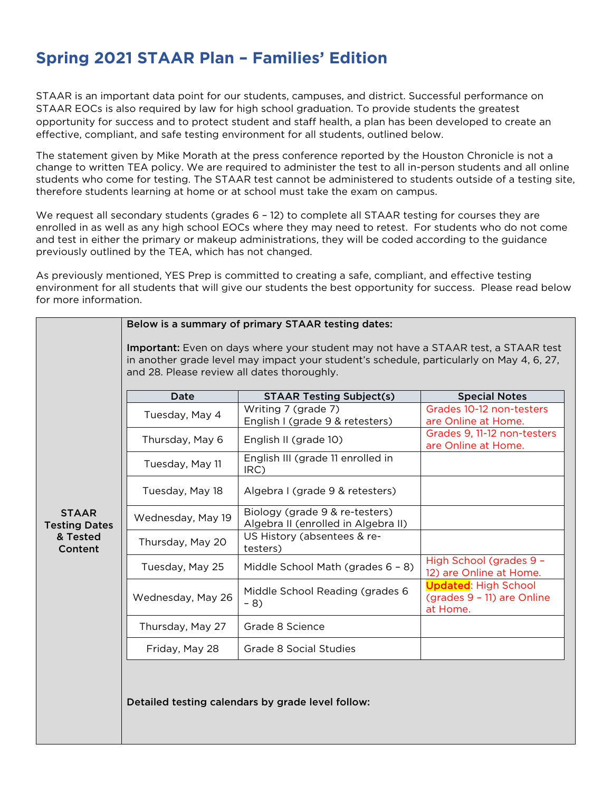## **Spring 2021 STAAR Plan – Families' Edition**

STAAR is an important data point for our students, campuses, and district. Successful performance on STAAR EOCs is also required by law for high school graduation. To provide students the greatest opportunity for success and to protect student and staff health, a plan has been developed to create an effective, compliant, and safe testing environment for all students, outlined below.

The statement given by Mike Morath at the press conference reported by the Houston Chronicle is not a change to written TEA policy. We are required to administer the test to all in-person students and all online students who come for testing. The STAAR test cannot be administered to students outside of a testing site, therefore students learning at home or at school must take the exam on campus.

We request all secondary students (grades 6 - 12) to complete all STAAR testing for courses they are enrolled in as well as any high school EOCs where they may need to retest. For students who do not come and test in either the primary or makeup administrations, they will be coded according to the guidance previously outlined by the TEA, which has not changed.

As previously mentioned, YES Prep is committed to creating a safe, compliant, and effective testing environment for all students that will give our students the best opportunity for success. Please read below for more information.

|                                      | Below is a summary of primary STAAR testing dates:<br>Important: Even on days where your student may not have a STAAR test, a STAAR test<br>in another grade level may impact your student's schedule, particularly on May 4, 6, 27,<br>and 28. Please review all dates thoroughly. |                                                                       |                                                                       |  |  |  |  |
|--------------------------------------|-------------------------------------------------------------------------------------------------------------------------------------------------------------------------------------------------------------------------------------------------------------------------------------|-----------------------------------------------------------------------|-----------------------------------------------------------------------|--|--|--|--|
|                                      | Date                                                                                                                                                                                                                                                                                | <b>STAAR Testing Subject(s)</b>                                       | <b>Special Notes</b>                                                  |  |  |  |  |
|                                      | Tuesday, May 4                                                                                                                                                                                                                                                                      | Writing 7 (grade 7)<br>English I (grade 9 & retesters)                | Grades 10-12 non-testers<br>are Online at Home.                       |  |  |  |  |
|                                      | Thursday, May 6                                                                                                                                                                                                                                                                     | English II (grade 10)                                                 | Grades 9, 11-12 non-testers<br>are Online at Home.                    |  |  |  |  |
|                                      | Tuesday, May 11                                                                                                                                                                                                                                                                     | English III (grade 11 enrolled in<br>IRC)                             |                                                                       |  |  |  |  |
|                                      | Tuesday, May 18                                                                                                                                                                                                                                                                     | Algebra I (grade 9 & retesters)                                       |                                                                       |  |  |  |  |
| <b>STAAR</b><br><b>Testing Dates</b> | Wednesday, May 19                                                                                                                                                                                                                                                                   | Biology (grade 9 & re-testers)<br>Algebra II (enrolled in Algebra II) |                                                                       |  |  |  |  |
| & Tested<br>Content                  | Thursday, May 20                                                                                                                                                                                                                                                                    | US History (absentees & re-<br>testers)                               |                                                                       |  |  |  |  |
|                                      | Tuesday, May 25                                                                                                                                                                                                                                                                     | Middle School Math (grades 6 - 8)                                     | High School (grades 9 -<br>12) are Online at Home.                    |  |  |  |  |
|                                      | Wednesday, May 26                                                                                                                                                                                                                                                                   | Middle School Reading (grades 6<br>$-8)$                              | <b>Updated: High School</b><br>(grades 9 - 11) are Online<br>at Home. |  |  |  |  |
|                                      | Thursday, May 27                                                                                                                                                                                                                                                                    | Grade 8 Science                                                       |                                                                       |  |  |  |  |
|                                      | Friday, May 28                                                                                                                                                                                                                                                                      | Grade 8 Social Studies                                                |                                                                       |  |  |  |  |
|                                      |                                                                                                                                                                                                                                                                                     | Detailed testing calendars by grade level follow:                     |                                                                       |  |  |  |  |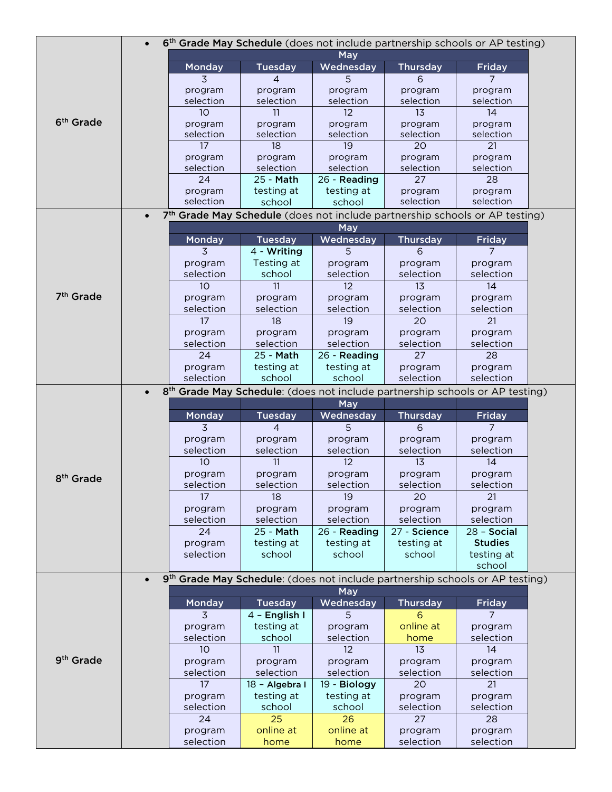|                       | $\bullet$ |                                                                                          |                   |                   |                      | 6 <sup>th</sup> Grade May Schedule (does not include partnership schools or AP testing) |
|-----------------------|-----------|------------------------------------------------------------------------------------------|-------------------|-------------------|----------------------|-----------------------------------------------------------------------------------------|
|                       |           |                                                                                          |                   | May               |                      |                                                                                         |
|                       |           | Monday                                                                                   | <b>Tuesday</b>    | Wednesday         | <b>Thursday</b>      | <b>Friday</b>                                                                           |
|                       |           | 3                                                                                        | 4                 | 5                 | 6                    | 7                                                                                       |
|                       |           | program                                                                                  | program           | program           | program              | program                                                                                 |
|                       |           | selection                                                                                | selection         | selection         | selection            | selection                                                                               |
|                       |           | 10                                                                                       | 11                | 12                | 13                   | 14                                                                                      |
| 6 <sup>th</sup> Grade |           | program                                                                                  | program           | program           | program              | program                                                                                 |
|                       |           | selection                                                                                | selection         | selection         | selection            | selection                                                                               |
|                       |           | 17                                                                                       | 18                | 19                | 20                   | 21                                                                                      |
|                       |           | program                                                                                  | program           | program           | program              | program                                                                                 |
|                       |           | selection                                                                                | selection         | selection         | selection            | selection                                                                               |
|                       |           | 24                                                                                       | 25 - Math         | 26 - Reading      | 27                   | 28                                                                                      |
|                       |           | program                                                                                  | testing at        | testing at        | program              | program                                                                                 |
|                       |           | selection                                                                                | school            | school            | selection            | selection                                                                               |
|                       | $\bullet$ | 7th Grade May Schedule (does not include partnership schools or AP testing)              |                   |                   |                      |                                                                                         |
|                       |           |                                                                                          |                   | May               |                      |                                                                                         |
|                       |           | Monday                                                                                   | <b>Tuesday</b>    | Wednesday         | <b>Thursday</b>      | <b>Friday</b>                                                                           |
|                       |           | 3                                                                                        | 4 - Writing       | 5                 | 6                    | 7                                                                                       |
|                       |           | program                                                                                  | Testing at        | program           | program              | program                                                                                 |
|                       |           | selection                                                                                | school            | selection         | selection            | selection                                                                               |
|                       |           | 10                                                                                       | 11                | 12                | 13                   | 14                                                                                      |
| 7 <sup>th</sup> Grade |           | program                                                                                  | program           | program           | program              | program                                                                                 |
|                       |           | selection                                                                                | selection         | selection         | selection            | selection                                                                               |
|                       |           | 17                                                                                       | 18                | 19                | 20                   | 21                                                                                      |
|                       |           | program                                                                                  | program           | program           | program              | program                                                                                 |
|                       |           | selection                                                                                | selection         | selection         | selection            | selection                                                                               |
|                       |           | 24                                                                                       | 25 - Math         | 26 - Reading      | 27                   | 28                                                                                      |
|                       |           | program                                                                                  | testing at        | testing at        | program              | program                                                                                 |
|                       |           | selection                                                                                | school            | school            | selection            | selection                                                                               |
|                       | $\bullet$ | 8 <sup>th</sup> Grade May Schedule: (does not include partnership schools or AP testing) |                   |                   |                      |                                                                                         |
|                       |           |                                                                                          |                   | May               |                      |                                                                                         |
|                       |           | Monday                                                                                   | <b>Tuesday</b>    | Wednesday         | <b>Thursday</b>      | <b>Friday</b>                                                                           |
|                       |           | 3                                                                                        | 4                 | 5                 | 6                    | 7                                                                                       |
|                       |           |                                                                                          |                   |                   | program              |                                                                                         |
|                       |           | program                                                                                  | program           | program           |                      | program<br>selection                                                                    |
|                       |           | selection<br>10                                                                          | selection         | selection         | selection            |                                                                                         |
|                       |           |                                                                                          |                   |                   |                      |                                                                                         |
| 8 <sup>th</sup> Grade |           |                                                                                          | 11                | 12                | 13                   | 14                                                                                      |
|                       |           | program                                                                                  | program           | program           | program              | program                                                                                 |
|                       |           | selection                                                                                | selection         | selection         | selection            | selection                                                                               |
|                       |           | 17                                                                                       | 18                | 19                | 20                   | 21                                                                                      |
|                       |           | program                                                                                  | program           | program           | program              | program                                                                                 |
|                       |           | selection                                                                                | selection         | selection         | selection            | selection                                                                               |
|                       |           | 24                                                                                       | 25 - Math         | 26 - Reading      | 27 - Science         | $28 - Social$                                                                           |
|                       |           | program                                                                                  | testing at        | testing at        | testing at           | <b>Studies</b>                                                                          |
|                       |           | selection                                                                                | school            | school            | school               | testing at                                                                              |
|                       |           |                                                                                          |                   |                   |                      | school                                                                                  |
|                       |           | 9 <sup>th</sup> Grade May Schedule: (does not include partnership schools or AP testing) |                   |                   |                      |                                                                                         |
|                       |           |                                                                                          |                   | <b>May</b>        |                      |                                                                                         |
|                       |           | Monday                                                                                   | <b>Tuesday</b>    | Wednesday         | <b>Thursday</b>      | <b>Friday</b>                                                                           |
|                       |           | 3                                                                                        | 4 - English I     | 5                 | 6                    | 7                                                                                       |
|                       |           | program                                                                                  | testing at        | program           | online at            | program                                                                                 |
|                       |           | selection                                                                                | school            | selection         | home                 | selection                                                                               |
|                       |           | 10                                                                                       | 11                | 12                | 13                   | 14                                                                                      |
| 9 <sup>th</sup> Grade |           | program                                                                                  | program           | program           | program              | program                                                                                 |
|                       |           | selection                                                                                | selection         | selection         | selection            | selection                                                                               |
|                       |           | 17                                                                                       | 18 - Algebra I    | 19 - Biology      | 20                   | 21                                                                                      |
|                       |           |                                                                                          |                   |                   |                      |                                                                                         |
|                       |           | program                                                                                  | testing at        | testing at        | program              | program                                                                                 |
|                       |           | selection<br>24                                                                          | school<br>25      | school<br>26      | selection<br>27      | selection                                                                               |
|                       |           |                                                                                          |                   |                   |                      | 28                                                                                      |
|                       |           | program<br>selection                                                                     | online at<br>home | online at<br>home | program<br>selection | program<br>selection                                                                    |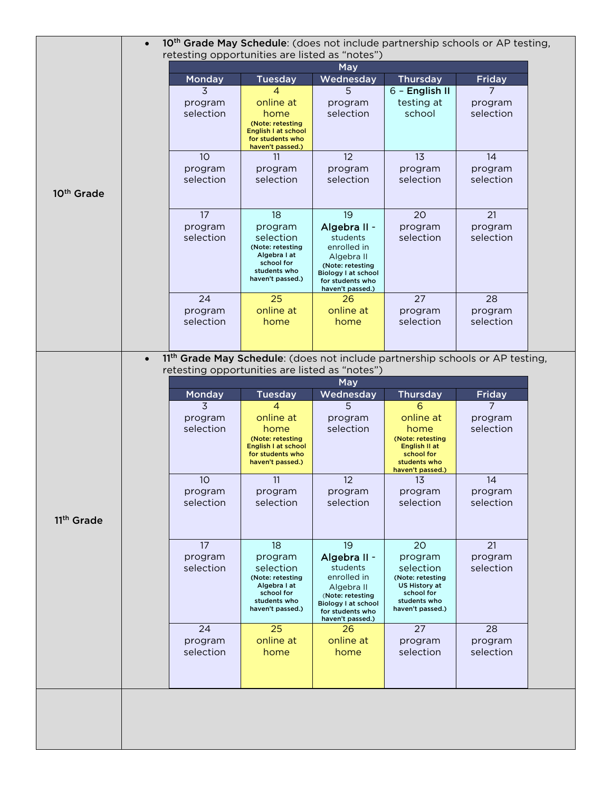|                        | 10 <sup>th</sup> Grade May Schedule: (does not include partnership schools or AP testing,<br>$\bullet$<br>retesting opportunities are listed as "notes") |                                                                                                                               |                                                                                                                                                       |                                                                                                               |                                        |  |
|------------------------|----------------------------------------------------------------------------------------------------------------------------------------------------------|-------------------------------------------------------------------------------------------------------------------------------|-------------------------------------------------------------------------------------------------------------------------------------------------------|---------------------------------------------------------------------------------------------------------------|----------------------------------------|--|
|                        | May                                                                                                                                                      |                                                                                                                               |                                                                                                                                                       |                                                                                                               |                                        |  |
|                        | Monday                                                                                                                                                   | <b>Tuesday</b>                                                                                                                | Wednesday                                                                                                                                             | <b>Thursday</b>                                                                                               | <b>Friday</b>                          |  |
|                        | 3<br>program<br>selection                                                                                                                                | 4<br>online at<br>home<br>(Note: retesting<br>English I at school<br>for students who                                         | 5<br>program<br>selection                                                                                                                             | 6 - English II<br>testing at<br>school                                                                        | $\overline{7}$<br>program<br>selection |  |
| 10 <sup>th</sup> Grade | 10<br>program<br>selection                                                                                                                               | haven't passed.)<br>11<br>program<br>selection                                                                                | 12<br>program<br>selection                                                                                                                            | 13<br>program<br>selection                                                                                    | 14<br>program<br>selection             |  |
|                        | 17<br>program<br>selection                                                                                                                               | 18<br>program<br>selection<br>(Note: retesting<br>Algebra I at<br>school for<br>students who<br>haven't passed.)              | 19<br>Algebra II -<br>students<br>enrolled in<br>Algebra II<br>(Note: retesting<br><b>Biology I at school</b><br>for students who<br>haven't passed.) | 20<br>program<br>selection                                                                                    | 21<br>program<br>selection             |  |
|                        | 24<br>program<br>selection                                                                                                                               | 25<br>online at<br>home                                                                                                       | 26<br>online at<br>home                                                                                                                               | 27<br>program<br>selection                                                                                    | 28<br>program<br>selection             |  |
| $\bullet$              | 11th Grade May Schedule: (does not include partnership schools or AP testing,                                                                            |                                                                                                                               |                                                                                                                                                       |                                                                                                               |                                        |  |
|                        | retesting opportunities are listed as "notes")<br>May                                                                                                    |                                                                                                                               |                                                                                                                                                       |                                                                                                               |                                        |  |
|                        | Monday                                                                                                                                                   | <b>Tuesday</b>                                                                                                                | Wednesday                                                                                                                                             | <b>Thursday</b>                                                                                               | <b>Friday</b>                          |  |
|                        | 3<br>program<br>selection                                                                                                                                | $\overline{4}$<br>online at<br>home<br>(Note: retesting<br><b>English I at school</b><br>for students who<br>haven't passed.) | 5<br>program<br>selection                                                                                                                             | 6<br>online at<br>home<br>(Note: retesting<br>English II at<br>school for<br>students who<br>haven't passed.) | $\overline{7}$<br>program<br>selection |  |
| 11 <sup>th</sup> Grade | 10<br>program<br>selection                                                                                                                               | 11<br>program<br>selection                                                                                                    | 12<br>program<br>selection                                                                                                                            | 13<br>program<br>selection                                                                                    | 14<br>program<br>selection             |  |
|                        | 17<br>program<br>selection                                                                                                                               | 18<br>program<br>selection<br>(Note: retesting<br>Algebra I at<br>school for                                                  | 19<br>Algebra II -<br>students<br>enrolled in<br>Algebra II<br>(Note: retesting                                                                       | 20<br>program<br>selection<br>(Note: retesting<br>US History at<br>school for                                 | 21<br>program<br>selection             |  |
|                        |                                                                                                                                                          | students who<br>haven't passed.)                                                                                              | <b>Biology I at school</b><br>for students who<br>haven't passed.)                                                                                    | students who<br>haven't passed.)                                                                              |                                        |  |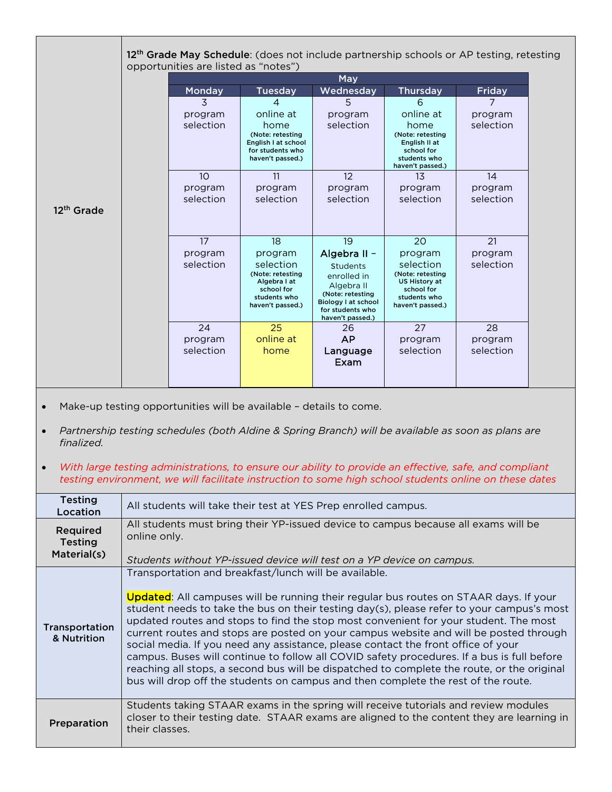|                        | 12 <sup>th</sup> Grade May Schedule: (does not include partnership schools or AP testing, retesting<br>opportunities are listed as "notes") |                                                                                                            |                                                                                                                                                        |                                                                                                             |                      |  |
|------------------------|---------------------------------------------------------------------------------------------------------------------------------------------|------------------------------------------------------------------------------------------------------------|--------------------------------------------------------------------------------------------------------------------------------------------------------|-------------------------------------------------------------------------------------------------------------|----------------------|--|
|                        | May                                                                                                                                         |                                                                                                            |                                                                                                                                                        |                                                                                                             |                      |  |
|                        | Monday                                                                                                                                      | <b>Tuesday</b>                                                                                             | Wednesday                                                                                                                                              | <b>Thursday</b>                                                                                             | Friday               |  |
|                        | 3                                                                                                                                           | 4                                                                                                          | 5                                                                                                                                                      | 6                                                                                                           | 7                    |  |
|                        | program                                                                                                                                     | online at                                                                                                  | program                                                                                                                                                | online at                                                                                                   | program              |  |
|                        | selection                                                                                                                                   | home<br>(Note: retesting<br>English I at school<br>for students who<br>haven't passed.)                    | selection                                                                                                                                              | home<br>(Note: retesting<br>English II at<br>school for<br>students who<br>haven't passed.)                 | selection            |  |
|                        | 1 <sub>O</sub>                                                                                                                              | 11                                                                                                         | 12                                                                                                                                                     | 13                                                                                                          | 14                   |  |
|                        | program                                                                                                                                     | program                                                                                                    | program                                                                                                                                                | program                                                                                                     | program              |  |
| 12 <sup>th</sup> Grade | selection                                                                                                                                   | selection                                                                                                  | selection                                                                                                                                              | selection                                                                                                   | selection            |  |
|                        | 17                                                                                                                                          | 18                                                                                                         | 19                                                                                                                                                     | 20                                                                                                          | 21                   |  |
|                        | program<br>selection                                                                                                                        | program<br>selection<br>(Note: retesting<br>Algebra I at<br>school for<br>students who<br>haven't passed.) | Algebra II -<br><b>Students</b><br>enrolled in<br>Algebra II<br>(Note: retesting<br><b>Biology I at school</b><br>for students who<br>haven't passed.) | program<br>selection<br>(Note: retesting<br>US History at<br>school for<br>students who<br>haven't passed.) | program<br>selection |  |
|                        | 24                                                                                                                                          | 25                                                                                                         | 26                                                                                                                                                     | 27                                                                                                          | 28                   |  |
|                        | program                                                                                                                                     | online at                                                                                                  | <b>AP</b>                                                                                                                                              | program                                                                                                     | program              |  |
|                        | selection                                                                                                                                   | home                                                                                                       | Language<br>Exam                                                                                                                                       | selection                                                                                                   | selection            |  |

• Make-up testing opportunities will be available – details to come.

- *Partnership testing schedules (both Aldine & Spring Branch) will be available as soon as plans are finalized.*
- *With large testing administrations, to ensure our ability to provide an effective, safe, and compliant testing environment, we will facilitate instruction to some high school students online on these dates*

| <b>Testing</b><br>Location                | All students will take their test at YES Prep enrolled campus.                                                                                                                                                                                                                                                                                                                                                                                                                                                                                                                                                                                                                                                                                                                                            |
|-------------------------------------------|-----------------------------------------------------------------------------------------------------------------------------------------------------------------------------------------------------------------------------------------------------------------------------------------------------------------------------------------------------------------------------------------------------------------------------------------------------------------------------------------------------------------------------------------------------------------------------------------------------------------------------------------------------------------------------------------------------------------------------------------------------------------------------------------------------------|
| Required<br><b>Testing</b><br>Material(s) | All students must bring their YP-issued device to campus because all exams will be<br>online only.                                                                                                                                                                                                                                                                                                                                                                                                                                                                                                                                                                                                                                                                                                        |
|                                           | Students without YP-issued device will test on a YP device on campus.                                                                                                                                                                                                                                                                                                                                                                                                                                                                                                                                                                                                                                                                                                                                     |
| Transportation<br>& Nutrition             | Transportation and breakfast/lunch will be available.<br><b>Updated:</b> All campuses will be running their regular bus routes on STAAR days. If your<br>student needs to take the bus on their testing day(s), please refer to your campus's most<br>updated routes and stops to find the stop most convenient for your student. The most<br>current routes and stops are posted on your campus website and will be posted through<br>social media. If you need any assistance, please contact the front office of your<br>campus. Buses will continue to follow all COVID safety procedures. If a bus is full before<br>reaching all stops, a second bus will be dispatched to complete the route, or the original<br>bus will drop off the students on campus and then complete the rest of the route. |
| Preparation                               | Students taking STAAR exams in the spring will receive tutorials and review modules<br>closer to their testing date. STAAR exams are aligned to the content they are learning in<br>their classes.                                                                                                                                                                                                                                                                                                                                                                                                                                                                                                                                                                                                        |